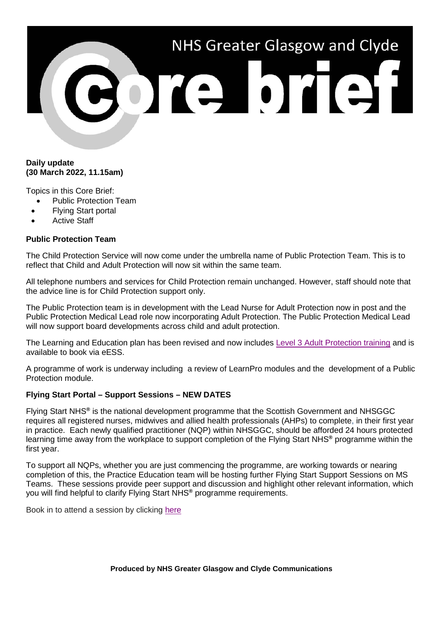# NHS Greater Glasgow and Clyde POTE DTET

# **Daily update (30 March 2022, 11.15am)**

Topics in this Core Brief:

- Public Protection Team
- Flying Start portal
- **Active Staff**

# **Public Protection Team**

The Child Protection Service will now come under the umbrella name of Public Protection Team. This is to reflect that Child and Adult Protection will now sit within the same team.

All telephone numbers and services for Child Protection remain unchanged. However, staff should note that the advice line is for Child Protection support only.

The Public Protection team is in development with the Lead Nurse for Adult Protection now in post and the Public Protection Medical Lead role now incorporating Adult Protection. The Public Protection Medical Lead will now support board developments across child and adult protection.

The Learning and Education plan has been revised and now includes [Level 3 Adult Protection training](http://www.staffnet.ggc.scot.nhs.uk/Corporate%20Services/Child%20Protection/Documents/Adult%20Support%20%20Protection%20Level%203%20learning%20and%20education%20training%20sessions%202022.pdf) and is available to book via eESS.

A programme of work is underway including a review of LearnPro modules and the development of a Public Protection module.

### **[Flying Start Portal –](https://www.nhsggc.org.uk/about-us/professional-support-sites/nurses-midwives/education-and-professional-development/practice-education/flyingstartportal/flyingstartsupportsessions/) Support Sessions – NEW DATES**

Flying Start NHS**®** is the national development programme that the Scottish Government and NHSGGC requires all registered nurses, midwives and allied health professionals (AHPs) to complete, in their first year in practice. Each newly qualified practitioner (NQP) within NHSGGC, should be afforded 24 hours protected learning time away from the workplace to support completion of the Flying Start NHS**®** programme within the first year.

To support all NQPs, whether you are just commencing the programme, are working towards or nearing completion of this, the Practice Education team will be hosting further Flying Start Support Sessions on MS Teams. These sessions provide peer support and discussion and highlight other relevant information, which you will find helpful to clarify Flying Start NHS**®** programme requirements.

Book in to attend a session by clicking [here](https://www.nhsggc.org.uk/about-us/professional-support-sites/nurses-midwives/education-and-professional-development/practice-education/flyingstartportal/flyingstartsupportsessions/)